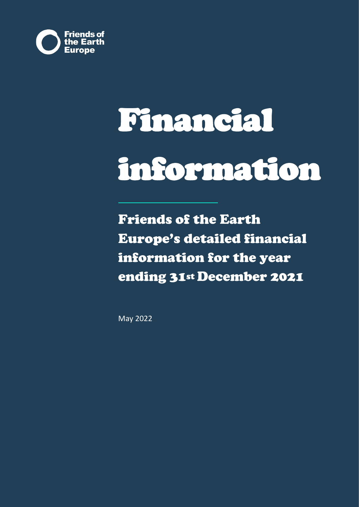

# Financial information

Friends of the Earth Europe's detailed financial information for the year ending 31st December 2021

May 2022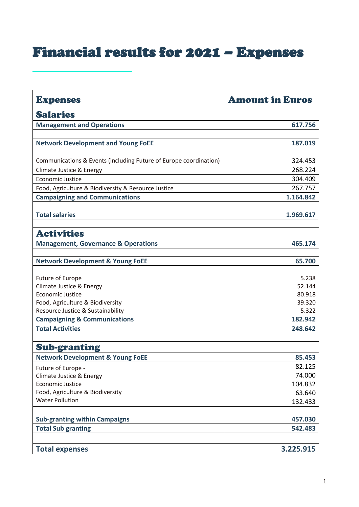## Financial results for 2021 – Expenses

| <b>Expenses</b>                                                   | <b>Amount in Euros</b> |
|-------------------------------------------------------------------|------------------------|
| <b>Salaries</b>                                                   |                        |
| <b>Management and Operations</b>                                  | 617.756                |
|                                                                   |                        |
| <b>Network Development and Young FoEE</b>                         | 187.019                |
|                                                                   |                        |
| Communications & Events (including Future of Europe coordination) | 324.453                |
| Climate Justice & Energy                                          | 268.224                |
| <b>Economic Justice</b>                                           | 304.409                |
| Food, Agriculture & Biodiversity & Resource Justice               | 267.757                |
| <b>Campaigning and Communications</b>                             | 1.164.842              |
|                                                                   |                        |
| <b>Total salaries</b>                                             | 1.969.617              |
| <b>Activities</b>                                                 |                        |
| <b>Management, Governance &amp; Operations</b>                    | 465.174                |
|                                                                   |                        |
| <b>Network Development &amp; Young FoEE</b>                       | 65.700                 |
| <b>Future of Europe</b>                                           | 5.238                  |
| Climate Justice & Energy                                          | 52.144                 |
| <b>Economic Justice</b>                                           | 80.918                 |
| Food, Agriculture & Biodiversity                                  | 39.320                 |
| Resource Justice & Sustainability                                 | 5.322                  |
| <b>Campaigning &amp; Communications</b>                           | 182.942                |
| <b>Total Activities</b>                                           | 248.642                |
|                                                                   |                        |
| <b>Sub-granting</b>                                               |                        |
| <b>Network Development &amp; Young FoEE</b>                       | 85.453                 |
| Future of Europe -                                                | 82.125                 |
| Climate Justice & Energy                                          | 74.000                 |
| <b>Economic Justice</b>                                           | 104.832                |
| Food, Agriculture & Biodiversity                                  | 63.640                 |
| <b>Water Pollution</b>                                            | 132.433                |
| <b>Sub-granting within Campaigns</b>                              | 457.030                |
|                                                                   | 542.483                |
| <b>Total Sub granting</b>                                         |                        |
| <b>Total expenses</b>                                             | 3.225.915              |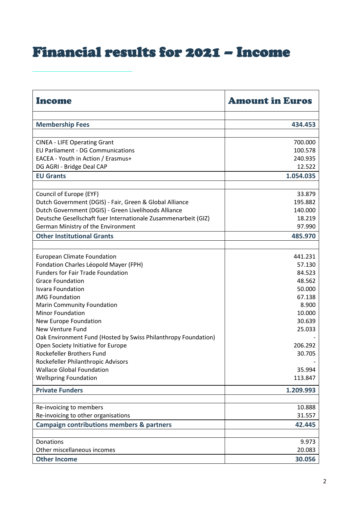### Financial results for 2021 – Income

| Income                                                         | <b>Amount in Euros</b> |
|----------------------------------------------------------------|------------------------|
| <b>Membership Fees</b>                                         | 434.453                |
|                                                                |                        |
| <b>CINEA - LIFE Operating Grant</b>                            | 700.000                |
| <b>EU Parliament - DG Communications</b>                       | 100.578                |
| EACEA - Youth in Action / Erasmus+                             | 240.935                |
| DG AGRI - Bridge Deal CAP                                      | 12.522                 |
| <b>EU Grants</b>                                               | 1.054.035              |
|                                                                |                        |
| Council of Europe (EYF)                                        | 33.879                 |
| Dutch Government (DGIS) - Fair, Green & Global Alliance        | 195.882                |
| Dutch Government (DGIS) - Green Livelihoods Alliance           | 140.000                |
| Deutsche Gesellschaft fuer Internationale Zusammenarbeit (GIZ) | 18.219                 |
| German Ministry of the Environment                             | 97.990                 |
| <b>Other Institutional Grants</b>                              | 485.970                |
|                                                                |                        |
| <b>European Climate Foundation</b>                             | 441.231                |
| Fondation Charles Léopold Mayer (FPH)                          | 57.130                 |
| <b>Funders for Fair Trade Foundation</b>                       | 84.523                 |
| <b>Grace Foundation</b>                                        | 48.562                 |
| <b>Isvara Foundation</b>                                       | 50.000                 |
| <b>JMG Foundation</b>                                          | 67.138                 |
| <b>Marin Community Foundation</b>                              | 8.900                  |
| <b>Minor Foundation</b>                                        | 10.000                 |
| New Europe Foundation                                          | 30.639                 |
| <b>New Venture Fund</b>                                        | 25.033                 |
| Oak Environment Fund (Hosted by Swiss Philanthropy Foundation) |                        |
| Open Society Initiative for Europe                             | 206.292                |
| Rockefeller Brothers Fund                                      | 30.705                 |
| Rockefeller Philanthropic Advisors                             |                        |
| <b>Wallace Global Foundation</b>                               | 35.994                 |
| <b>Wellspring Foundation</b>                                   | 113.847                |
| <b>Private Funders</b>                                         | 1.209.993              |
|                                                                |                        |
| Re-invoicing to members                                        | 10.888                 |
| Re-invoicing to other organisations                            | 31.557                 |
| <b>Campaign contributions members &amp; partners</b>           | 42.445                 |
|                                                                |                        |
| Donations                                                      | 9.973                  |
| Other miscellaneous incomes                                    | 20.083                 |
| <b>Other Income</b>                                            | 30.056                 |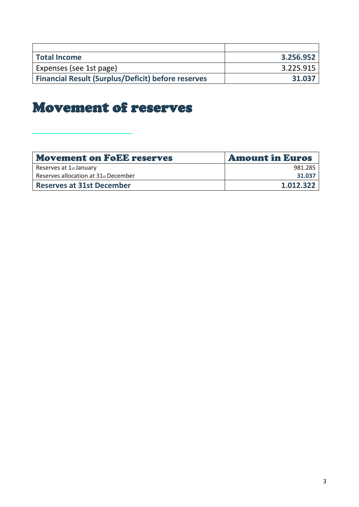| <b>Total Income</b>                                       | 3.256.952 |
|-----------------------------------------------------------|-----------|
| Expenses (see 1st page)                                   | 3.225.915 |
| <b>Financial Result (Surplus/Deficit) before reserves</b> | 31.037    |

### Movement of reserves

| <b>Movement on FoEE reserves</b>     | <b>Amount in Euros</b> |
|--------------------------------------|------------------------|
| Reserves at 1st January              | 981.285                |
| Reserves allocation at 31st December | 31.037                 |
| <b>Reserves at 31st December</b>     | 1.012.322              |